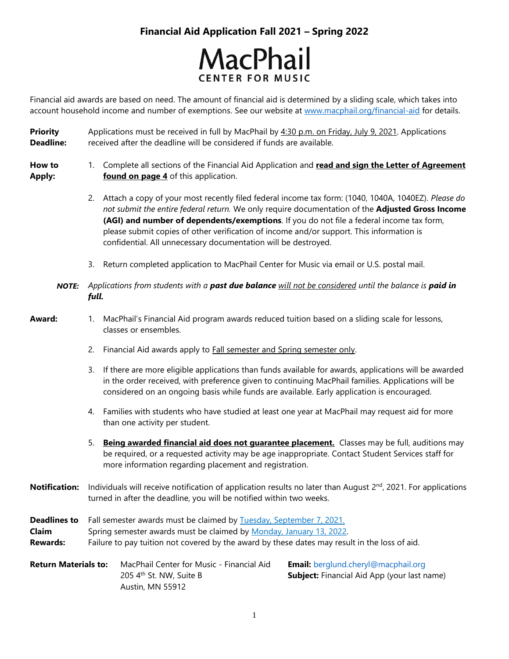

Financial aid awards are based on need. The amount of financial aid is determined by a sliding scale, which takes into account household income and number of exemptions. See our website at [www.macphail.org/financial-aid](http://www.macphail.org/financial-aid) for details.

**Priority Deadline:** Applications must be received in full by MacPhail by 4:30 p.m. on Friday, July 9, 2021. Applications received after the deadline will be considered if funds are available.

#### **How to Apply:**

1. Complete all sections of the Financial Aid Application and **read and sign the Letter of Agreement found on page 4** of this application.

- 2. Attach a copy of your most recently filed federal income tax form: (1040, 1040A, 1040EZ). *Please do not submit the entire federal return.* We only require documentation of the **Adjusted Gross Income (AGI) and number of dependents/exemptions**. If you do not file a federal income tax form, please submit copies of other verification of income and/or support. This information is confidential. All unnecessary documentation will be destroyed.
- 3. Return completed application to MacPhail Center for Music via email or U.S. postal mail.
- *NOTE: Applications from students with a past due balance will not be considered until the balance is paid in full.*
- 

**Award:** 1. MacPhail's Financial Aid program awards reduced tuition based on a sliding scale for lessons, classes or ensembles.

- 2. Financial Aid awards apply to Fall semester and Spring semester only.
- 3. If there are more eligible applications than funds available for awards, applications will be awarded in the order received, with preference given to continuing MacPhail families. Applications will be considered on an ongoing basis while funds are available. Early application is encouraged.
- 4. Families with students who have studied at least one year at MacPhail may request aid for more than one activity per student.
- 5. **Being awarded financial aid does not guarantee placement.** Classes may be full, auditions may be required, or a requested activity may be age inappropriate. Contact Student Services staff for more information regarding placement and registration.
- **Notification:** Individuals will receive notification of application results no later than August 2<sup>nd</sup>, 2021. For applications turned in after the deadline, you will be notified within two weeks.
- **Deadlines to**  Fall semester awards must be claimed by Tuesday, September 7, 2021.
- **Claim**  Spring semester awards must be claimed by Monday, January 13, 2022.
- **Rewards:** Failure to pay tuition not covered by the award by these dates may result in the loss of aid.
- **Return Materials to:** MacPhail Center for Music Financial Aid 205 4<sup>th</sup> St. NW, Suite B Austin, MN 55912

**Email:** [berglund.cheryl@macphail.org](mailto:berglund.cheryl@macphail.org) **Subject:** Financial Aid App (your last name)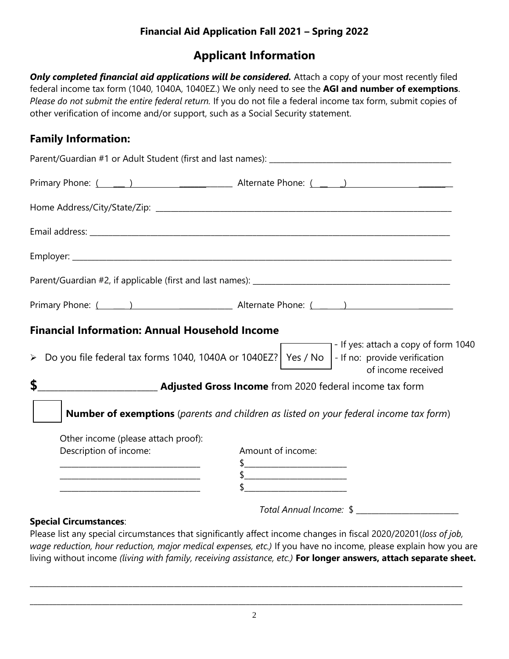# **Applicant Information**

**Only completed financial aid applications will be considered.** Attach a copy of your most recently filed federal income tax form (1040, 1040A, 1040EZ.) We only need to see the **AGI and number of exemptions**. *Please do not submit the entire federal return.* If you do not file a federal income tax form, submit copies of other verification of income and/or support, such as a Social Security statement.

# **Family Information:**

| <b>Financial Information: Annual Household Income</b>                                                                |                                                                                                                                                                 |
|----------------------------------------------------------------------------------------------------------------------|-----------------------------------------------------------------------------------------------------------------------------------------------------------------|
|                                                                                                                      | - If yes: attach a copy of form 1040<br>▶ Do you file federal tax forms 1040, 1040A or 1040EZ?   Yes / No   - If no: provide verification<br>of income received |
| \$                                                                                                                   | <b>EXAGE ADDITION ADDITION CONTINUES ADDITIONAL ADDITIONS Incomment CO20</b> federal income tax form                                                            |
|                                                                                                                      | <b>Number of exemptions</b> (parents and children as listed on your federal income tax form)                                                                    |
| Other income (please attach proof):                                                                                  |                                                                                                                                                                 |
| Description of income:                                                                                               | Amount of income:                                                                                                                                               |
|                                                                                                                      |                                                                                                                                                                 |
| <u> 1989 - Johann Stein, mars an deutscher Stein und der Stein und der Stein und der Stein und der Stein und der</u> |                                                                                                                                                                 |
|                                                                                                                      | Total Annual Income: \$                                                                                                                                         |

## **Special Circumstances**:

Please list any special circumstances that significantly affect income changes in fiscal 2020/20201(*loss of job, wage reduction, hour reduction, major medical expenses, etc.)* If you have no income, please explain how you are living without income *(living with family, receiving assistance, etc.)* **For longer answers, attach separate sheet.**

\_\_\_\_\_\_\_\_\_\_\_\_\_\_\_\_\_\_\_\_\_\_\_\_\_\_\_\_\_\_\_\_\_\_\_\_\_\_\_\_\_\_\_\_\_\_\_\_\_\_\_\_\_\_\_\_\_\_\_\_\_\_\_\_\_\_\_\_\_\_\_\_\_\_\_\_\_\_\_\_\_\_\_\_\_\_\_\_\_\_\_\_\_\_\_\_\_\_\_\_\_\_\_\_\_\_\_\_\_\_\_\_\_\_

\_\_\_\_\_\_\_\_\_\_\_\_\_\_\_\_\_\_\_\_\_\_\_\_\_\_\_\_\_\_\_\_\_\_\_\_\_\_\_\_\_\_\_\_\_\_\_\_\_\_\_\_\_\_\_\_\_\_\_\_\_\_\_\_\_\_\_\_\_\_\_\_\_\_\_\_\_\_\_\_\_\_\_\_\_\_\_\_\_\_\_\_\_\_\_\_\_\_\_\_\_\_\_\_\_\_\_\_\_\_\_\_\_\_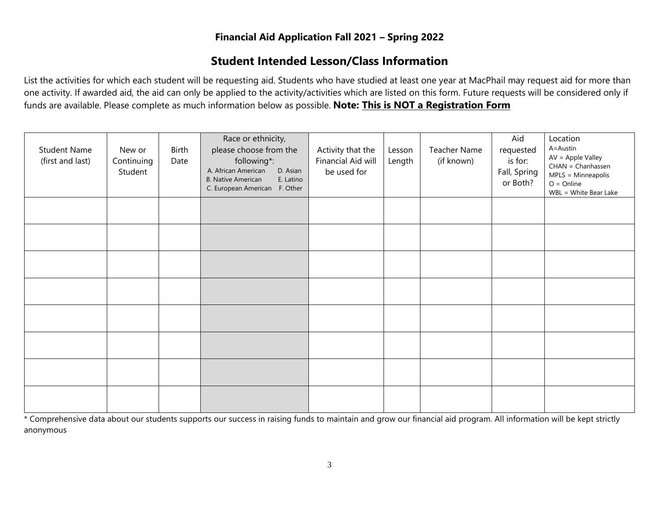# **Student Intended Lesson/Class Information**

List the activities for which each student will be requesting aid. Students who have studied at least one year at MacPhail may request aid for more than one activity. If awarded aid, the aid can only be applied to the activity/activities which are listed on this form. Future requests will be considered only if funds are available. Please complete as much information below as possible. **Note: This is NOT a Registration Form**

| <b>Student Name</b><br>(first and last) | New or<br>Continuing<br>Student | Birth<br>Date | Race or ethnicity,<br>please choose from the<br>following*:<br>A. African American<br>D. Asian<br><b>B. Native American</b><br>E. Latino<br>C. European American F. Other | Activity that the<br>Financial Aid will<br>be used for | Lesson<br>Length | Teacher Name<br>(if known) | Aid<br>requested<br>is for:<br>Fall, Spring<br>or Both? | Location<br>A=Austin<br>$AV = Apple Valley$<br>$CHAN = Chanhassen$<br>MPLS = Minneapolis<br>$O = Online$<br>WBL = White Bear Lake |
|-----------------------------------------|---------------------------------|---------------|---------------------------------------------------------------------------------------------------------------------------------------------------------------------------|--------------------------------------------------------|------------------|----------------------------|---------------------------------------------------------|-----------------------------------------------------------------------------------------------------------------------------------|
|                                         |                                 |               |                                                                                                                                                                           |                                                        |                  |                            |                                                         |                                                                                                                                   |
|                                         |                                 |               |                                                                                                                                                                           |                                                        |                  |                            |                                                         |                                                                                                                                   |
|                                         |                                 |               |                                                                                                                                                                           |                                                        |                  |                            |                                                         |                                                                                                                                   |
|                                         |                                 |               |                                                                                                                                                                           |                                                        |                  |                            |                                                         |                                                                                                                                   |
|                                         |                                 |               |                                                                                                                                                                           |                                                        |                  |                            |                                                         |                                                                                                                                   |
|                                         |                                 |               |                                                                                                                                                                           |                                                        |                  |                            |                                                         |                                                                                                                                   |
|                                         |                                 |               |                                                                                                                                                                           |                                                        |                  |                            |                                                         |                                                                                                                                   |
|                                         |                                 |               |                                                                                                                                                                           |                                                        |                  |                            |                                                         |                                                                                                                                   |

\* Comprehensive data about our students supports our success in raising funds to maintain and grow our financial aid program. All information will be kept strictly anonymous